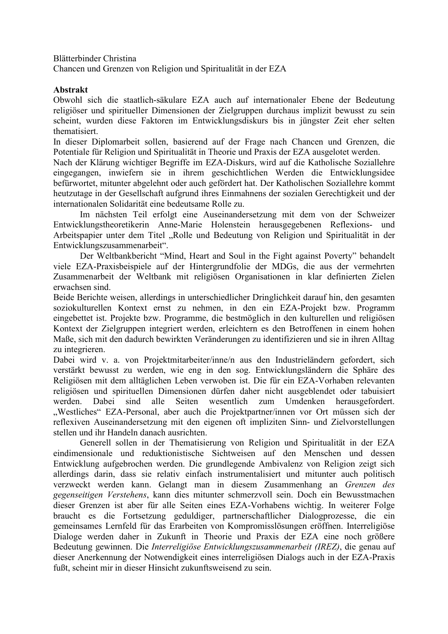Blätterbinder Christina

Chancen und Grenzen von Religion und Spiritualität in der EZA

## **Abstrakt**

Obwohl sich die staatlich-säkulare EZA auch auf internationaler Ebene der Bedeutung religiöser und spiritueller Dimensionen der Zielgruppen durchaus implizit bewusst zu sein scheint, wurden diese Faktoren im Entwicklungsdiskurs bis in jüngster Zeit eher selten thematisiert.

In dieser Diplomarbeit sollen, basierend auf der Frage nach Chancen und Grenzen, die Potentiale für Religion und Spiritualität in Theorie und Praxis der EZA ausgelotet werden.

Nach der Klärung wichtiger Begriffe im EZA-Diskurs, wird auf die Katholische Soziallehre eingegangen, inwiefern sie in ihrem geschichtlichen Werden die Entwicklungsidee befürwortet, mitunter abgelehnt oder auch gefördert hat. Der Katholischen Soziallehre kommt heutzutage in der Gesellschaft aufgrund ihres Einmahnens der sozialen Gerechtigkeit und der internationalen Solidarität eine bedeutsame Rolle zu.

Im nächsten Teil erfolgt eine Auseinandersetzung mit dem von der Schweizer Entwicklungstheoretikerin Anne-Marie Holenstein herausgegebenen Reflexions- und Arbeitspapier unter dem Titel "Rolle und Bedeutung von Religion und Spiritualität in der Entwicklungszusammenarbeit".

Der Weltbankbericht "Mind, Heart and Soul in the Fight against Poverty" behandelt viele EZA-Praxisbeispiele auf der Hintergrundfolie der MDGs, die aus der vermehrten Zusammenarbeit der Weltbank mit religiösen Organisationen in klar definierten Zielen erwachsen sind.

Beide Berichte weisen, allerdings in unterschiedlicher Dringlichkeit darauf hin, den gesamten soziokulturellen Kontext ernst zu nehmen, in den ein EZA-Projekt bzw. Programm eingebettet ist. Projekte bzw. Programme, die bestmöglich in den kulturellen und religiösen Kontext der Zielgruppen integriert werden, erleichtern es den Betroffenen in einem hohen Maße, sich mit den dadurch bewirkten Veränderungen zu identifizieren und sie in ihren Alltag zu integrieren.

Dabei wird v. a. von Projektmitarbeiter/inne/n aus den Industrieländern gefordert, sich verstärkt bewusst zu werden, wie eng in den sog. Entwicklungsländern die Sphäre des Religiösen mit dem alltäglichen Leben verwoben ist. Die für ein EZA-Vorhaben relevanten religiösen und spirituellen Dimensionen dürfen daher nicht ausgeblendet oder tabuisiert werden. Dabei sind alle Seiten wesentlich zum Umdenken herausgefordert. "Westliches" EZA-Personal, aber auch die Projektpartner/innen vor Ort müssen sich der reflexiven Auseinandersetzung mit den eigenen oft impliziten Sinn- und Zielvorstellungen stellen und ihr Handeln danach ausrichten.

Generell sollen in der Thematisierung von Religion und Spiritualität in der EZA eindimensionale und reduktionistische Sichtweisen auf den Menschen und dessen Entwicklung aufgebrochen werden. Die grundlegende Ambivalenz von Religion zeigt sich allerdings darin, dass sie relativ einfach instrumentalisiert und mitunter auch politisch verzweckt werden kann. Gelangt man in diesem Zusammenhang an *Grenzen des gegenseitigen Verstehens*, kann dies mitunter schmerzvoll sein. Doch ein Bewusstmachen dieser Grenzen ist aber für alle Seiten eines EZA-Vorhabens wichtig. In weiterer Folge braucht es die Fortsetzung geduldiger, partnerschaftlicher Dialogprozesse, die ein gemeinsames Lernfeld für das Erarbeiten von Kompromisslösungen eröffnen. Interreligiöse Dialoge werden daher in Zukunft in Theorie und Praxis der EZA eine noch größere Bedeutung gewinnen. Die *Interreligiöse Entwicklungszusammenarbeit (IREZ)*, die genau auf dieser Anerkennung der Notwendigkeit eines interreligiösen Dialogs auch in der EZA-Praxis fußt, scheint mir in dieser Hinsicht zukunftsweisend zu sein.